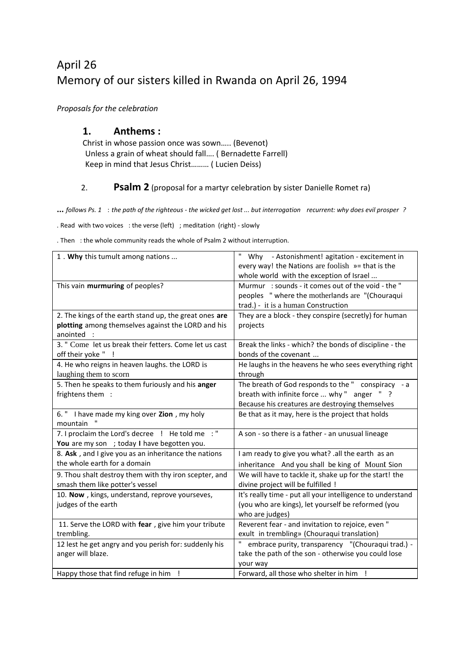# April 26 Memory of our sisters killed in Rwanda on April 26, 1994

*Proposals for the celebration*

#### **1. Anthems :**

Christ in whose passion once was sown….. (Bevenot) Unless a grain of wheat should fall…. ( Bernadette Farrell) Keep in mind that Jesus Christ……… ( Lucien Deiss)

#### 2. **Psalm 2** (proposal for a martyr celebration by sister Danielle Romet ra)

**...** *follows Ps. 1* : *the path of the righteous - the wicked get lost ... but interrogation recurrent: why does evil prosper ?*

. Read with two voices : the verse (left) ; meditation (right) - slowly

. Then : the whole community reads the whole of Psalm 2 without interruption.

| 1. Why this tumult among nations                       | Why - Astonishment! agitation - excitement in              |
|--------------------------------------------------------|------------------------------------------------------------|
|                                                        | every way! the Nations are foolish »= that is the          |
|                                                        | whole world with the exception of Israel                   |
| This vain murmuring of peoples?                        | Murmur: sounds - it comes out of the void - the "          |
|                                                        | peoples " where the motherlands are "(Chouraqui            |
|                                                        | trad.) - it is a human Construction                        |
| 2. The kings of the earth stand up, the great ones are | They are a block - they conspire (secretly) for human      |
| plotting among themselves against the LORD and his     | projects                                                   |
| anointed :                                             |                                                            |
| 3. " Come let us break their fetters. Come let us cast | Break the links - which? the bonds of discipline - the     |
| off their yoke " !                                     | bonds of the covenant                                      |
| 4. He who reigns in heaven laughs. the LORD is         | He laughs in the heavens he who sees everything right      |
| laughing them to scorn                                 | through                                                    |
| 5. Then he speaks to them furiously and his anger      | The breath of God responds to the " conspiracy - a         |
| frightens them :                                       | breath with infinite force  why " anger " ?                |
|                                                        | Because his creatures are destroying themselves            |
| 6. " I have made my king over Zion, my holy            | Be that as it may, here is the project that holds          |
| mountain                                               |                                                            |
| 7. I proclaim the Lord's decree ! He told me : "       | A son - so there is a father - an unusual lineage          |
| You are my son ; today I have begotten you.            |                                                            |
| 8. Ask, and I give you as an inheritance the nations   | I am ready to give you what? .all the earth as an          |
| the whole earth for a domain                           | inheritance And you shall be king of Mount Sion            |
| 9. Thou shalt destroy them with thy iron scepter, and  | We will have to tackle it, shake up for the start! the     |
| smash them like potter's vessel                        | divine project will be fulfilled !                         |
| 10. Now, kings, understand, reprove yourseves,         | It's really time - put all your intelligence to understand |
| judges of the earth                                    | (you who are kings), let yourself be reformed (you         |
|                                                        | who are judges)                                            |
| 11. Serve the LORD with fear, give him your tribute    | Reverent fear - and invitation to rejoice, even "          |
| trembling.                                             | exult in trembling» (Chouraqui translation)                |
| 12 lest he get angry and you perish for: suddenly his  | embrace purity, transparency "(Chouraqui trad.) -          |
| anger will blaze.                                      | take the path of the son - otherwise you could lose        |
|                                                        | your way                                                   |
| Happy those that find refuge in him !                  | Forward, all those who shelter in him !                    |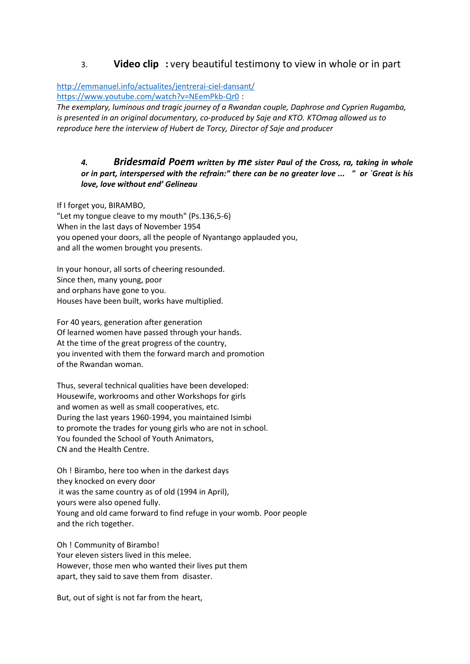### 3. **Video clip :** very beautiful testimony to view in whole or in part

[http://emmanuel.info/actualites/jentrerai-ciel-dansant/](https://translate.google.com/translate?hl=en&prev=_t&sl=fr&tl=en&u=http://emmanuel.info/actualites/jentrerai-ciel-dansant/) [https://www.youtube.com/watch?v=NEemPkb-Qr0](https://translate.google.com/translate?hl=en&prev=_t&sl=fr&tl=en&u=https://www.youtube.com/watch%3Fv%3DNEemPkb-Qr0) :

*The exemplary, luminous and tragic journey of a Rwandan couple, Daphrose and Cyprien Rugamba, is presented in an original documentary, co-produced by Saje and KTO. KTOmag allowed us to reproduce here the interview of Hubert de Torcy, Director of Saje and producer*

#### *4. Bridesmaid Poem written by me sister Paul of the Cross, ra, taking in whole or in part, interspersed with the refrain:" there can be no greater love ... " or `Great is his love, love without end' Gelineau*

If I forget you, BIRAMBO, "Let my tongue cleave to my mouth" (Ps.136,5-6) When in the last days of November 1954 you opened your doors, all the people of Nyantango applauded you, and all the women brought you presents.

In your honour, all sorts of cheering resounded. Since then, many young, poor and orphans have gone to you. Houses have been built, works have multiplied.

For 40 years, generation after generation Of learned women have passed through your hands. At the time of the great progress of the country, you invented with them the forward march and promotion of the Rwandan woman.

Thus, several technical qualities have been developed: Housewife, workrooms and other Workshops for girls and women as well as small cooperatives, etc. During the last years 1960-1994, you maintained Isimbi to promote the trades for young girls who are not in school. You founded the School of Youth Animators, CN and the Health Centre.

Oh ! Birambo, here too when in the darkest days they knocked on every door it was the same country as of old (1994 in April), yours were also opened fully. Young and old came forward to find refuge in your womb. Poor people and the rich together.

Oh ! Community of Birambo! Your eleven sisters lived in this melee. However, those men who wanted their lives put them apart, they said to save them from disaster.

But, out of sight is not far from the heart,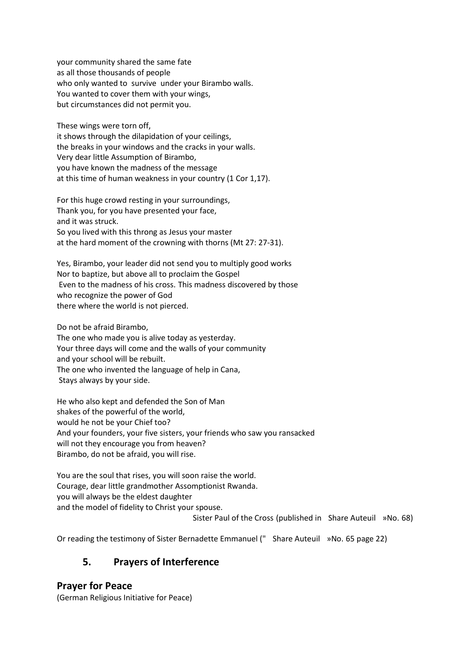your community shared the same fate as all those thousands of people who only wanted to survive under your Birambo walls. You wanted to cover them with your wings, but circumstances did not permit you.

These wings were torn off,

it shows through the dilapidation of your ceilings, the breaks in your windows and the cracks in your walls. Very dear little Assumption of Birambo, you have known the madness of the message at this time of human weakness in your country (1 Cor 1,17).

For this huge crowd resting in your surroundings, Thank you, for you have presented your face, and it was struck. So you lived with this throng as Jesus your master at the hard moment of the crowning with thorns (Mt 27: 27-31).

Yes, Birambo, your leader did not send you to multiply good works Nor to baptize, but above all to proclaim the Gospel Even to the madness of his cross. This madness discovered by those who recognize the power of God there where the world is not pierced.

Do not be afraid Birambo, The one who made you is alive today as yesterday. Your three days will come and the walls of your community and your school will be rebuilt. The one who invented the language of help in Cana, Stays always by your side.

He who also kept and defended the Son of Man shakes of the powerful of the world, would he not be your Chief too? And your founders, your five sisters, your friends who saw you ransacked will not they encourage you from heaven? Birambo, do not be afraid, you will rise.

You are the soul that rises, you will soon raise the world. Courage, dear little grandmother Assomptionist Rwanda. you will always be the eldest daughter and the model of fidelity to Christ your spouse.

Sister Paul of the Cross (published in Share Auteuil »No. 68)

Or reading the testimony of Sister Bernadette Emmanuel (" Share Auteuil »No. 65 page 22)

## **5. Prayers of Interference**

**Prayer for Peace**

(German Religious Initiative for Peace)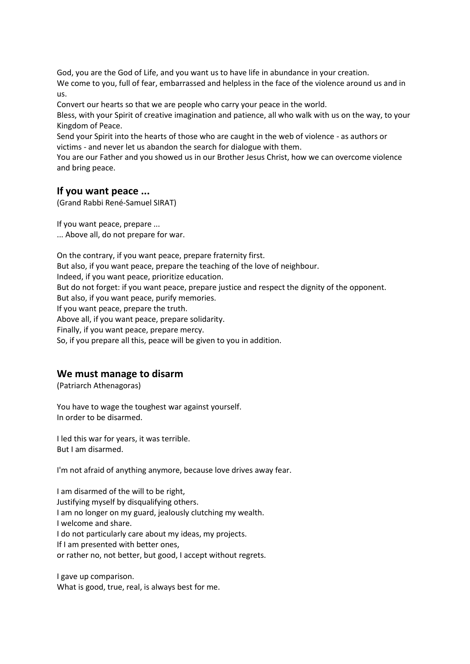God, you are the God of Life, and you want us to have life in abundance in your creation. We come to you, full of fear, embarrassed and helpless in the face of the violence around us and in us.

Convert our hearts so that we are people who carry your peace in the world.

Bless, with your Spirit of creative imagination and patience, all who walk with us on the way, to your Kingdom of Peace.

Send your Spirit into the hearts of those who are caught in the web of violence - as authors or victims - and never let us abandon the search for dialogue with them.

You are our Father and you showed us in our Brother Jesus Christ, how we can overcome violence and bring peace.

#### **If you want peace ...**

(Grand Rabbi René-Samuel SIRAT)

If you want peace, prepare ... ... Above all, do not prepare for war.

On the contrary, if you want peace, prepare fraternity first. But also, if you want peace, prepare the teaching of the love of neighbour. Indeed, if you want peace, prioritize education. But do not forget: if you want peace, prepare justice and respect the dignity of the opponent. But also, if you want peace, purify memories. If you want peace, prepare the truth.

Above all, if you want peace, prepare solidarity.

Finally, if you want peace, prepare mercy.

So, if you prepare all this, peace will be given to you in addition.

#### **We must manage to disarm**

(Patriarch Athenagoras)

You have to wage the toughest war against yourself. In order to be disarmed.

I led this war for years, it was terrible. But I am disarmed.

I'm not afraid of anything anymore, because love drives away fear.

I am disarmed of the will to be right, Justifying myself by disqualifying others. I am no longer on my guard, jealously clutching my wealth. I welcome and share. I do not particularly care about my ideas, my projects. If I am presented with better ones, or rather no, not better, but good, I accept without regrets.

I gave up comparison. What is good, true, real, is always best for me.